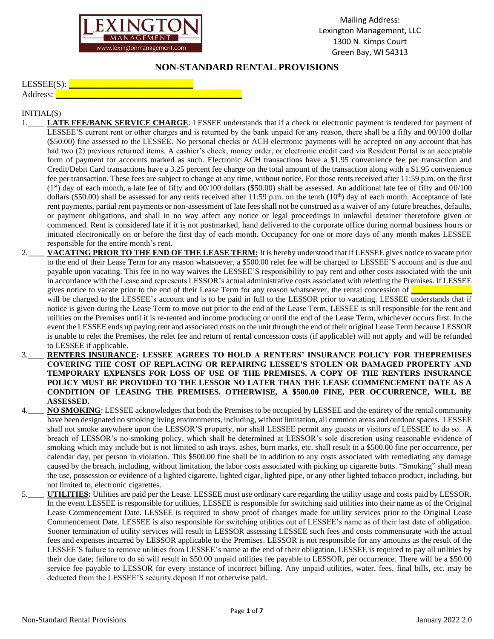

## **NON-STANDARD RENTAL PROVISIONS**

| $LESSEE(S)$ : |  |  |
|---------------|--|--|
| Address:      |  |  |
|               |  |  |

## INITIAL(S)

- 1.\_**\_\_\_ LATE FEE/BANK SERVICE CHARGE**: LESSEE understands that if a check or electronic payment is tendered for payment of LESSEE'S current rent or other charges and is returned by the bank unpaid for any reason, there shall be a fifty and 00/100 dollar (\$50.00) fine assessed to the LESSEE. No personal checks or ACH electronic payments will be accepted on any account that has had two (2) previous returned items. A cashier's check, money order, or electronic credit card via Resident Portal is an acceptable form of payment for accounts marked as such. Electronic ACH transactions have a \$1.95 convenience fee per transaction and Credit/Debit Card transactions have a 3.25 percent fee charge on the total amount of the transaction along with a \$1.95 convenience fee per transaction. These fees are subject to change at any time, without notice. For those rents received after 11:59 p.m. on the first (1st) day of each month, a late fee of fifty and 00/100 dollars (\$50.00) shall be assessed. An additional late fee of fifty and 00/100 dollars (\$50.00) shall be assessed for any rents received after 11:59 p.m. on the tenth  $(10<sup>th</sup>)$  day of each month. Acceptance of late rent payments, partial rent payments or non-assessment of late fees shall not be construed as a waiver of any future breaches, defaults, or payment obligations, and shall in no way affect any notice or legal proceedings in unlawful detainer theretofore given or commenced. Rent is considered late if it is not postmarked, hand delivered to the corporate office during normal business hours or initiated electronically on or before the first day of each month. Occupancy for one or more days of any month makes LESSEE responsible for the entire month's rent.
- 2.\_\_\_\_ **VACATING PRIOR TO THE END OF THE LEASE TERM:** It is hereby understood that if LESSEE gives notice to vacate prior to the end of their Lease Term for any reason whatsoever, a \$500.00 relet fee will be charged to LESSEE'S account and is due and payable upon vacating. This fee in no way waives the LESSEE'S responsibility to pay rent and other costs associated with the unit in accordance with the Lease and represents LESSOR's actual administrative costs associated with reletting the Premises. If LESSEE gives notice to vacate prior to the end of their Lease Term for any reason whatsoever, the rental concession of  $\Box$

will be charged to the LESSEE's account and is to be paid in full to the LESSOR prior to vacating. LESSEE understands that if notice is given during the Lease Term to move out prior to the end of the Lease Term, LESSEE is still responsible for the rent and utilities on the Premises until it is re-rented and income producing or until the end of the Lease Term, whichever occurs first. In the event the LESSEE ends up paying rent and associated costs on the unit through the end of their original Lease Term because LESSOR is unable to relet the Premises, the relet fee and return of rental concession costs (if applicable) will not apply and will be refunded to LESSEE if applicable.

- 3.\_\_\_\_ **RENTERS INSURANCE: LESSEE AGREES TO HOLD A RENTERS' INSURANCE POLICY FOR THEPREMISES COVERING THE COST OF REPLACING OR REPAIRING LESSEE'S STOLEN OR DAMAGED PROPERTY AND TEMPORARY EXPENSES FOR LOSS OF USE OF THE PREMISES. A COPY OF THE RENTERS INSURANCE POLICY MUST BE PROVIDED TO THE LESSOR NO LATER THAN THE LEASE COMMENCEMENT DATE AS A CONDITION OF LEASING THE PREMISES. OTHERWISE, A \$500.00 FINE, PER OCCURRENCE, WILL BE ASSESSED.**
- NO SMOKING: LESSEE acknowledges that both the Premises to be occupied by LESSEE and the entirety of the rental community have been designated no smoking living environments, including, without limitation, all common areas and outdoor spaces. LESSEE shall not smoke anywhere upon the LESSOR'S property, nor shall LESSEE permit any guests or visitors of LESSEE to do so. A breach of LESSOR's no-smoking policy, which shall be determined at LESSOR's sole discretion using reasonable evidence of smoking which may include but is not limited to ash trays, ashes, burn marks, etc. shall result in a \$500.00 fine per occurrence, per calendar day, per person in violation. This \$500.00 fine shall be in addition to any costs associated with remediating any damage caused by the breach, including, without limitation, the labor costs associated with picking up cigarette butts. "Smoking" shall mean the use, possession or evidence of a lighted cigarette, lighted cigar, lighted pipe, or any other lighted tobacco product, including, but not limited to, electronic cigarettes.
- 5.\_\_\_\_ **UTILITIES:** Utilities are paid per the Lease. LESSEE must use ordinary care regarding the utility usage and costs paid by LESSOR. In the event LESSEE is responsible for utilities, LESSEE is responsible for switching said utilities into their name as of the Original Lease Commencement Date. LESSEE is required to show proof of changes made for utility services prior to the Original Lease Commencement Date. LESSEE is also responsible for switching utilities out of LESSEE's name as of their last date of obligation. Sooner termination of utility services will result in LESSOR assessing LESSEE such fees and costs commensurate with the actual fees and expenses incurred by LESSOR applicable to the Premises. LESSOR is not responsible for any amounts as the result of the LESSEE'S failure to remove utilities from LESSEE's name at the end of their obligation. LESSEE is required to pay all utilities by their due date; failure to do so will result in \$50.00 unpaid utilities fee payable to LESSOR, per occurrence. There will be a \$50.00 service fee payable to LESSOR for every instance of incorrect billing. Any unpaid utilities, water, fees, final bills, etc. may be deducted from the LESSEE'S security deposit if not otherwise paid.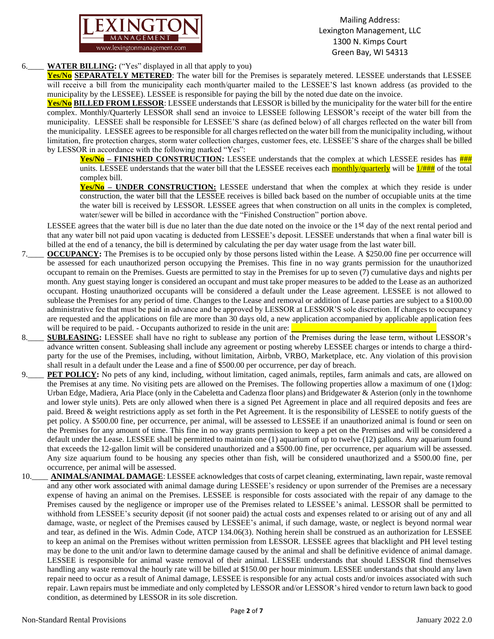

## 6.\_\_\_\_ **WATER BILLING:** ("Yes" displayed in all that apply to you)

**Yes/No SEPARATELY METERED**: The water bill for the Premises is separately metered. LESSEE understands that LESSEE will receive a bill from the municipality each month/quarter mailed to the LESSEE'S last known address (as provided to the municipality by the LESSEE). LESSEE is responsible for paying the bill by the noted due date on the invoice.

**Yes/No BILLED FROM LESSOR**: LESSEE understands that LESSOR is billed by the municipality for the water bill for the entire complex. Monthly/Quarterly LESSOR shall send an invoice to LESSEE following LESSOR's receipt of the water bill from the municipality. LESSEE shall be responsible for LESSEE'S share (as defined below) of all charges reflected on the water bill from the municipality. LESSEE agrees to be responsible for all charges reflected on the water bill from the municipality including, without limitation, fire protection charges, storm water collection charges, customer fees, etc. LESSEE'S share of the charges shall be billed by LESSOR in accordance with the following marked "Yes":

**Yes/No** – **FINISHED CONSTRUCTION:** LESSEE understands that the complex at which LESSEE resides has  $\frac{HHH}{H}$ units. LESSEE understands that the water bill that the LESSEE receives each  $\frac{\text{monthly/quarterly}}{\text{muthly/quarterly}}$  will be  $\frac{1}{\text{111}}$  of the total complex bill.

**Yes/No – UNDER CONSTRUCTION:** LESSEE understand that when the complex at which they reside is under construction, the water bill that the LESSEE receives is billed back based on the number of occupiable units at the time the water bill is received by LESSOR. LESSEE agrees that when construction on all units in the complex is completed, water/sewer will be billed in accordance with the "Finished Construction" portion above.

LESSEE agrees that the water bill is due no later than the due date noted on the invoice or the 1<sup>st</sup> day of the next rental period and that any water bill not paid upon vacating is deducted from LESSEE's deposit. LESSEE understands that when a final water bill is billed at the end of a tenancy, the bill is determined by calculating the per day water usage from the last water bill.

- 7.\_\_\_\_ **OCCUPANCY:** The Premises is to be occupied only by those persons listed within the Lease. A \$250.00 fine per occurrence will be assessed for each unauthorized person occupying the Premises. This fine in no way grants permission for the unauthorized occupant to remain on the Premises. Guests are permitted to stay in the Premises for up to seven (7) cumulative days and nights per month. Any guest staying longer is considered an occupant and must take proper measures to be added to the Lease as an authorized occupant. Hosting unauthorized occupants will be considered a default under the Lease agreement. LESSEE is not allowed to sublease the Premises for any period of time. Changes to the Lease and removal or addition of Lease parties are subject to a \$100.00 administrative fee that must be paid in advance and be approved by LESSOR at LESSOR'S sole discretion. If changes to occupancy are requested and the applications on file are more than 30 days old, a new application accompanied by applicable application fees will be required to be paid. - Occupants authorized to reside in the unit are:  $\Box$
- 8.\_\_\_\_ **SUBLEASING:** LESSEE shall have no right to sublease any portion of the Premises during the lease term, without LESSOR's advance written consent. Subleasing shall include any agreement or posting whereby LESSEE charges or intends to charge a thirdparty for the use of the Premises, including, without limitation, Airbnb, VRBO, Marketplace, etc. Any violation of this provision shall result in a default under the Lease and a fine of \$500.00 per occurrence, per day of breach.
- 9.\_\_\_\_ **PET POLICY:** No pets of any kind, including, without limitation, caged animals, reptiles, farm animals and cats, are allowed on the Premises at any time. No visiting pets are allowed on the Premises. The following properties allow a maximum of one (1)dog: Urban Edge, Madiera, Aria Place (only in the Cabeletta and Cadenza floor plans) and Bridgewater & Asterion (only in the townhome and lower style units). Pets are only allowed when there is a signed Pet Agreement in place and all required deposits and fees are paid. Breed & weight restrictions apply as set forth in the Pet Agreement. It is the responsibility of LESSEE to notify guests of the pet policy. A \$500.00 fine, per occurrence, per animal, will be assessed to LESSEE if an unauthorized animal is found or seen on the Premises for any amount of time. This fine in no way grants permission to keep a pet on the Premises and will be considered a default under the Lease. LESSEE shall be permitted to maintain one (1) aquarium of up to twelve (12) gallons. Any aquarium found that exceeds the 12-gallon limit will be considered unauthorized and a \$500.00 fine, per occurrence, per aquarium will be assessed. Any size aquarium found to be housing any species other than fish, will be considered unauthorized and a \$500.00 fine, per occurrence, per animal will be assessed.
- 10. ANIMALS/ANIMAL DAMAGE: LESSEE acknowledges that costs of carpet cleaning, exterminating, lawn repair, waste removal and any other work associated with animal damage during LESSEE's residency or upon surrender of the Premises are a necessary expense of having an animal on the Premises. LESSEE is responsible for costs associated with the repair of any damage to the Premises caused by the negligence or improper use of the Premises related to LESSEE's animal. LESSOR shall be permitted to withhold from LESSEE's security deposit (if not sooner paid) the actual costs and expenses related to or arising out of any and all damage, waste, or neglect of the Premises caused by LESSEE's animal, if such damage, waste, or neglect is beyond normal wear and tear, as defined in the Wis. Admin Code, ATCP 134.06(3). Nothing herein shall be construed as an authorization for LESSEE to keep an animal on the Premises without written permission from LESSOR. LESSEE agrees that blacklight and PH level testing may be done to the unit and/or lawn to determine damage caused by the animal and shall be definitive evidence of animal damage. LESSEE is responsible for animal waste removal of their animal. LESSEE understands that should LESSOR find themselves handling any waste removal the hourly rate will be billed at \$150.00 per hour minimum. LESSEE understands that should any lawn repair need to occur as a result of Animal damage, LESSEE is responsible for any actual costs and/or invoices associated with such repair. Lawn repairs must be immediate and only completed by LESSOR and/or LESSOR's hired vendor to return lawn back to good condition, as determined by LESSOR in its sole discretion.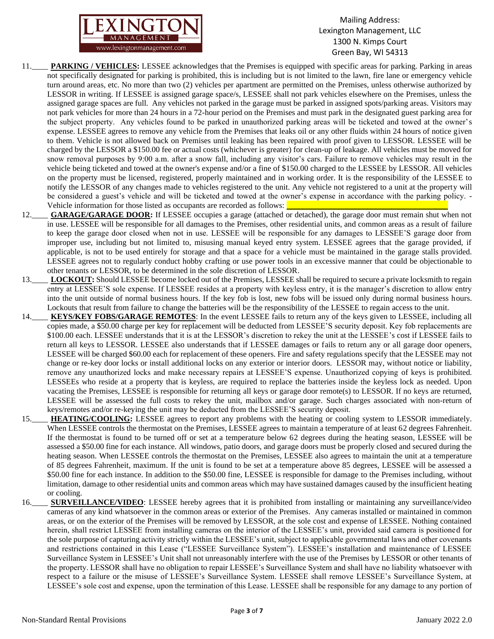

- 11.\_\_\_\_ **PARKING / VEHICLES:** LESSEE acknowledges that the Premises is equipped with specific areas for parking. Parking in areas not specifically designated for parking is prohibited, this is including but is not limited to the lawn, fire lane or emergency vehicle turn around areas, etc. No more than two (2) vehicles per apartment are permitted on the Premises, unless otherwise authorized by LESSOR in writing. If LESSEE is assigned garage space/s, LESSEE shall not park vehicles elsewhere on the Premises, unless the assigned garage spaces are full. Any vehicles not parked in the garage must be parked in assigned spots/parking areas. Visitors may not park vehicles for more than 24 hours in a 72-hour period on the Premises and must park in the designated guest parking area for the subject property. Any vehicles found to be parked in unauthorized parking areas will be ticketed and towed at the owner's expense. LESSEE agrees to remove any vehicle from the Premises that leaks oil or any other fluids within 24 hours of notice given to them. Vehicle is not allowed back on Premises until leaking has been repaired with proof given to LESSOR. LESSEE will be charged by the LESSOR a \$150.00 fee or actual costs (whichever is greater) for clean-up of leakage. All vehicles must be moved for snow removal purposes by 9:00 a.m. after a snow fall, including any visitor's cars. Failure to remove vehicles may result in the vehicle being ticketed and towed at the owner's expense and/or a fine of \$150.00 charged to the LESSEE by LESSOR. All vehicles on the property must be licensed, registered, properly maintained and in working order. It is the responsibility of the LESSEE to notify the LESSOR of any changes made to vehicles registered to the unit. Any vehicle not registered to a unit at the property will be considered a guest's vehicle and will be ticketed and towed at the owner's expense in accordance with the parking policy. - Vehicle information for those listed as occupants are recorded as follows:
- 12.\_\_\_\_ **GARAGE/GARAGE DOOR:** If LESSEE occupies a garage (attached or detached), the garage door must remain shut when not in use. LESSEE will be responsible for all damages to the Premises, other residential units, and common areas as a result of failure to keep the garage door closed when not in use. LESSEE will be responsible for any damages to LESSEE'S garage door from improper use, including but not limited to, misusing manual keyed entry system. LESSEE agrees that the garage provided, if applicable, is not to be used entirely for storage and that a space for a vehicle must be maintained in the garage stalls provided. LESSEE agrees not to regularly conduct hobby crafting or use power tools in an excessive manner that could be objectionable to other tenants or LESSOR, to be determined in the sole discretion of LESSOR.
- 13.\_\_\_\_ **LOCKOUT:** Should LESSEE become locked out of the Premises, LESSEE shall be required to secure a private locksmith to regain entry at LESSEE'S sole expense. If LESSEE resides at a property with keyless entry, it is the manager's discretion to allow entry into the unit outside of normal business hours. If the key fob is lost, new fobs will be issued only during normal business hours. Lockouts that result from failure to change the batteries will be the responsibility of the LESSEE to regain access to the unit.
- 14. **KEYS/KEY FOBS/GARAGE REMOTES:** In the event LESSEE fails to return any of the keys given to LESSEE, including all copies made, a \$50.00 charge per key for replacement will be deducted from LESSEE'S security deposit. Key fob replacements are \$100.00 each. LESSEE understands that it is at the LESSOR's discretion to rekey the unit at the LESSEE's cost if LESSEE fails to return all keys to LESSOR. LESSEE also understands that if LESSEE damages or fails to return any or all garage door openers, LESSEE will be charged \$60.00 each for replacement of these openers. Fire and safety regulations specify that the LESSEE may not change or re-key door locks or install additional locks on any exterior or interior doors. LESSOR may, without notice or liability, remove any unauthorized locks and make necessary repairs at LESSEE'S expense. Unauthorized copying of keys is prohibited. LESSEEs who reside at a property that is keyless, are required to replace the batteries inside the keyless lock as needed. Upon vacating the Premises, LESSEE is responsible for returning all keys or garage door remote(s) to LESSOR. If no keys are returned, LESSEE will be assessed the full costs to rekey the unit, mailbox and/or garage. Such charges associated with non-return of keys/remotes and/or re-keying the unit may be deducted from the LESSEE'S security deposit.
- 15.\_\_\_\_ **HEATING/COOLING:** LESSEE agrees to report any problems with the heating or cooling system to LESSOR immediately. When LESSEE controls the thermostat on the Premises, LESSEE agrees to maintain a temperature of at least 62 degrees Fahrenheit. If the thermostat is found to be turned off or set at a temperature below 62 degrees during the heating season, LESSEE will be assessed a \$50.00 fine for each instance. All windows, patio doors, and garage doors must be properly closed and secured during the heating season. When LESSEE controls the thermostat on the Premises, LESSEE also agrees to maintain the unit at a temperature of 85 degrees Fahrenheit, maximum. If the unit is found to be set at a temperature above 85 degrees, LESSEE will be assessed a \$50.00 fine for each instance. In addition to the \$50.00 fine, LESSEE is responsible for damage to the Premises including, without limitation, damage to other residential units and common areas which may have sustained damages caused by the insufficient heating or cooling.
- 16.\_\_\_\_ **SURVEILLANCE/VIDEO**: LESSEE hereby agrees that it is prohibited from installing or maintaining any surveillance/video cameras of any kind whatsoever in the common areas or exterior of the Premises. Any cameras installed or maintained in common areas, or on the exterior of the Premises will be removed by LESSOR, at the sole cost and expense of LESSEE. Nothing contained herein, shall restrict LESSEE from installing cameras on the interior of the LESSEE's unit, provided said camera is positioned for the sole purpose of capturing activity strictly within the LESSEE's unit, subject to applicable governmental laws and other covenants and restrictions contained in this Lease ("LESSEE Surveillance System"). LESSEE's installation and maintenance of LESSEE Surveillance System in LESSEE's Unit shall not unreasonably interfere with the use of the Premises by LESSOR or other tenants of the property. LESSOR shall have no obligation to repair LESSEE's Surveillance System and shall have no liability whatsoever with respect to a failure or the misuse of LESSEE's Surveillance System. LESSEE shall remove LESSEE's Surveillance System, at LESSEE's sole cost and expense, upon the termination of this Lease. LESSEE shall be responsible for any damage to any portion of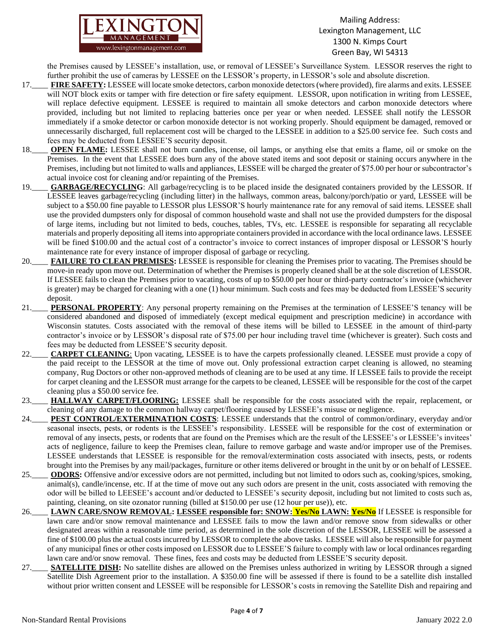

the Premises caused by LESSEE's installation, use, or removal of LESSEE's Surveillance System. LESSOR reserves the right to further prohibit the use of cameras by LESSEE on the LESSOR's property, in LESSOR's sole and absolute discretion.

- 17.\_\_\_\_ **FIRE SAFETY:** LESSEE will locate smoke detectors, carbon monoxide detectors (where provided), fire alarms and exits. LESSEE will NOT block exits or tamper with fire detection or fire safety equipment. LESSOR, upon notification in writing from LESSEE, will replace defective equipment. LESSEE is required to maintain all smoke detectors and carbon monoxide detectors where provided, including but not limited to replacing batteries once per year or when needed. LESSEE shall notify the LESSOR immediately if a smoke detector or carbon monoxide detector is not working properly. Should equipment be damaged, removed or unnecessarily discharged, full replacement cost will be charged to the LESSEE in addition to a \$25.00 service fee. Such costs and fees may be deducted from LESSEE'S security deposit.
- 18.\_\_\_\_ **OPEN FLAME:** LESSEE shall not burn candles, incense, oil lamps, or anything else that emits a flame, oil or smoke on the Premises. In the event that LESSEE does burn any of the above stated items and soot deposit or staining occurs anywhere in the Premises, including but not limited to walls and appliances, LESSEE will be charged the greater of \$75.00 per hour or subcontractor's actual invoice cost for cleaning and/or repainting of the Premises.
- 19.\_\_\_\_ **GARBAGE/RECYCLING**: All garbage/recycling is to be placed inside the designated containers provided by the LESSOR. If LESSEE leaves garbage/recycling (including litter) in the hallways, common areas, balcony/porch/patio or yard, LESSEE will be subject to a \$50.00 fine payable to LESSOR plus LESSOR'S hourly maintenance rate for any removal of said items. LESSEE shall use the provided dumpsters only for disposal of common household waste and shall not use the provided dumpsters for the disposal of large items, including but not limited to beds, couches, tables, TVs, etc. LESSEE is responsible for separating all recyclable materials and properly depositing all items into appropriate containers provided in accordance with the local ordinance laws. LESSEE will be fined \$100.00 and the actual cost of a contractor's invoice to correct instances of improper disposal or LESSOR'S hourly maintenance rate for every instance of improper disposal of garbage or recycling.
- 20.\_\_\_\_ **FAILURE TO CLEAN PREMISES:** LESSEE is responsible for cleaning the Premises prior to vacating. The Premises should be move-in ready upon move out. Determination of whether the Premises is properly cleaned shall be at the sole discretion of LESSOR. If LESSEE fails to clean the Premises prior to vacating, costs of up to \$50.00 per hour or third-party contractor's invoice (whichever is greater) may be charged for cleaning with a one (1) hour minimum. Such costs and fees may be deducted from LESSEE'S security deposit.
- 21.\_\_\_\_ **PERSONAL PROPERTY**: Any personal property remaining on the Premises at the termination of LESSEE'S tenancy will be considered abandoned and disposed of immediately (except medical equipment and prescription medicine) in accordance with Wisconsin statutes. Costs associated with the removal of these items will be billed to LESSEE in the amount of third-party contractor's invoice or by LESSOR's disposal rate of \$75.00 per hour including travel time (whichever is greater). Such costs and fees may be deducted from LESSEE'S security deposit.
- 22.\_\_\_\_ **CARPET CLEANING**: Upon vacating, LESSEE is to have the carpets professionally cleaned. LESSEE must provide a copy of the paid receipt to the LESSOR at the time of move out. Only professional extraction carpet cleaning is allowed, no steaming company, Rug Doctors or other non-approved methods of cleaning are to be used at any time. If LESSEE fails to provide the receipt for carpet cleaning and the LESSOR must arrange for the carpets to be cleaned, LESSEE will be responsible for the cost of the carpet cleaning plus a \$50.00 service fee.
- 23.\_\_\_\_ **HALLWAY CARPET/FLOORING:** LESSEE shall be responsible for the costs associated with the repair, replacement, or cleaning of any damage to the common hallway carpet/flooring caused by LESSEE's misuse or negligence.
- 24.\_\_\_\_ **PEST CONTROL/EXTERMINATION COSTS**: LESSEE understands that the control of common/ordinary, everyday and/or seasonal insects, pests, or rodents is the LESSEE's responsibility. LESSEE will be responsible for the cost of extermination or removal of any insects, pests, or rodents that are found on the Premises which are the result of the LESSEE's or LESSEE's invitees' acts of negligence, failure to keep the Premises clean, failure to remove garbage and waste and/or improper use of the Premises. LESSEE understands that LESSEE is responsible for the removal/extermination costs associated with insects, pests, or rodents brought into the Premises by any mail/packages, furniture or other items delivered or brought in the unit by or on behalf of LESSEE.
- 25.\_\_\_\_ **ODORS:** Offensive and/or excessive odors are not permitted, including but not limited to odors such as, cooking/spices, smoking, animal(s), candle/incense, etc. If at the time of move out any such odors are present in the unit, costs associated with removing the odor will be billed to LEESEE's account and/or deducted to LESSEE's security deposit, including but not limited to costs such as, painting, cleaning, on site ozonator running (billed at \$150.00 per use (12 hour per use)), etc.
- 26.\_\_\_\_ **LAWN CARE/SNOW REMOVAL: LESSEE responsible for: SNOW: Yes/No LAWN: Yes/No** If LESSEE is responsible for lawn care and/or snow removal maintenance and LESSEE fails to mow the lawn and/or remove snow from sidewalks or other designated areas within a reasonable time period, as determined in the sole discretion of the LESSOR, LESSEE will be assessed a fine of \$100.00 plus the actual costs incurred by LESSOR to complete the above tasks. LESSEE will also be responsible for payment of any municipal fines or other costs imposed on LESSOR due to LESSEE'S failure to comply with law or local ordinances regarding lawn care and/or snow removal. These fines, fees and costs may be deducted from LESSEE'S security deposit.
- 27.\_\_\_\_ **SATELLITE DISH:** No satellite dishes are allowed on the Premises unless authorized in writing by LESSOR through a signed Satellite Dish Agreement prior to the installation. A \$350.00 fine will be assessed if there is found to be a satellite dish installed without prior written consent and LESSEE will be responsible for LESSOR's costs in removing the Satellite Dish and repairing and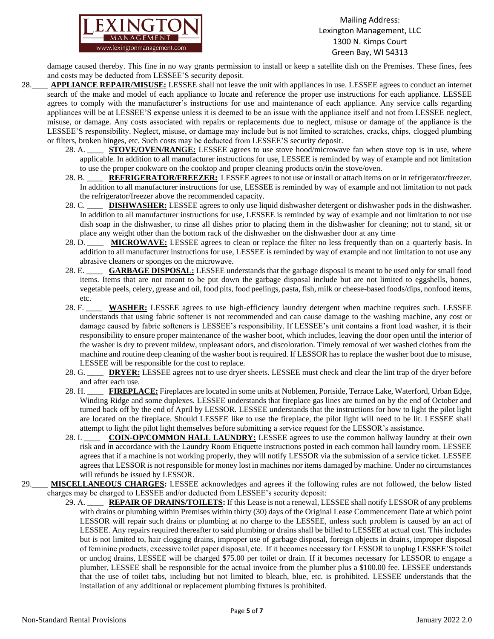

damage caused thereby. This fine in no way grants permission to install or keep a satellite dish on the Premises. These fines, fees and costs may be deducted from LESSEE'S security deposit.

- 28.\_\_\_\_ **APPLIANCE REPAIR/MISUSE:** LESSEE shall not leave the unit with appliances in use. LESSEE agrees to conduct an internet search of the make and model of each appliance to locate and reference the proper use instructions for each appliance. LESSEE agrees to comply with the manufacturer's instructions for use and maintenance of each appliance. Any service calls regarding appliances will be at LESSEE'S expense unless it is deemed to be an issue with the appliance itself and not from LESSEE neglect, misuse, or damage. Any costs associated with repairs or replacements due to neglect, misuse or damage of the appliance is the LESSEE'S responsibility. Neglect, misuse, or damage may include but is not limited to scratches, cracks, chips, clogged plumbing or filters, broken hinges, etc. Such costs may be deducted from LESSEE'S security deposit.
	- 28. A. \_\_\_\_ **STOVE/OVEN/RANGE:** LESSEE agrees to use stove hood/microwave fan when stove top is in use, where applicable. In addition to all manufacturer instructions for use, LESSEE is reminded by way of example and not limitation to use the proper cookware on the cooktop and proper cleaning products on/in the stove/oven.
	- 28. B. \_\_\_\_\_ **REFRIGERATOR/FREEZER:** LESSEE agrees to not use or install or attach items on or in refrigerator/freezer. In addition to all manufacturer instructions for use, LESSEE is reminded by way of example and not limitation to not pack the refrigerator/freezer above the recommended capacity.
	- 28. C. \_\_\_\_ **DISHWASHER:** LESSEE agrees to only use liquid dishwasher detergent or dishwasher pods in the dishwasher. In addition to all manufacturer instructions for use, LESSEE is reminded by way of example and not limitation to not use dish soap in the dishwasher, to rinse all dishes prior to placing them in the dishwasher for cleaning; not to stand, sit or place any weight other than the bottom rack of the dishwasher on the dishwasher door at any time
	- 28. D. \_\_\_\_ **MICROWAVE:** LESSEE agrees to clean or replace the filter no less frequently than on a quarterly basis. In addition to all manufacturer instructions for use, LESSEE is reminded by way of example and not limitation to not use any abrasive cleaners or sponges on the microwave.
	- 28. E. \_\_\_\_ **GARBAGE DISPOSAL:** LESSEE understands that the garbage disposal is meant to be used only for small food items. Items that are not meant to be put down the garbage disposal include but are not limited to eggshells, bones, vegetable peels, celery, grease and oil, food pits, food peelings, pasta, fish, milk or cheese-based foods/dips, nonfood items, etc.
	- 28. F. \_\_\_\_ **WASHER:** LESSEE agrees to use high-efficiency laundry detergent when machine requires such. LESSEE understands that using fabric softener is not recommended and can cause damage to the washing machine, any cost or damage caused by fabric softeners is LESSEE's responsibility. If LESSEE's unit contains a front load washer, it is their responsibility to ensure proper maintenance of the washer boot, which includes, leaving the door open until the interior of the washer is dry to prevent mildew, unpleasant odors, and discoloration. Timely removal of wet washed clothes from the machine and routine deep cleaning of the washer boot is required. If LESSOR has to replace the washer boot due to misuse, LESSEE will be responsible for the cost to replace.
	- 28. G. **DRYER:** LESSEE agrees not to use dryer sheets. LESSEE must check and clear the lint trap of the dryer before and after each use.
	- 28. H. \_\_\_\_ **FIREPLACE:** Fireplaces are located in some units at Noblemen, Portside, Terrace Lake, Waterford, Urban Edge, Winding Ridge and some duplexes. LESSEE understands that fireplace gas lines are turned on by the end of October and turned back off by the end of April by LESSOR. LESSEE understands that the instructions for how to light the pilot light are located on the fireplace. Should LESSEE like to use the fireplace, the pilot light will need to be lit. LESSEE shall attempt to light the pilot light themselves before submitting a service request for the LESSOR's assistance.
	- 28. I. **COIN-OP/COMMON HALL LAUNDRY:** LESSEE agrees to use the common hallway laundry at their own risk and in accordance with the Laundry Room Etiquette instructions posted in each common hall laundry room. LESSEE agrees that if a machine is not working properly, they will notify LESSOR via the submission of a service ticket. LESSEE agrees that LESSOR is not responsible for money lost in machines nor items damaged by machine. Under no circumstances will refunds be issued by LESSOR.
- 29.\_\_\_\_ **MISCELLANEOUS CHARGES:** LESSEE acknowledges and agrees if the following rules are not followed, the below listed charges may be charged to LESSEE and/or deducted from LESSEE's security deposit:
	- 29. A. \_\_\_\_ **REPAIR OF DRAINS/TOILETS:** If this Lease is not a renewal, LESSEE shall notify LESSOR of any problems with drains or plumbing within Premises within thirty (30) days of the Original Lease Commencement Date at which point LESSOR will repair such drains or plumbing at no charge to the LESSEE, unless such problem is caused by an act of LESSEE. Any repairs required thereafter to said plumbing or drains shall be billed to LESSEE at actual cost. This includes but is not limited to, hair clogging drains, improper use of garbage disposal, foreign objects in drains, improper disposal of feminine products, excessive toilet paper disposal, etc. If it becomes necessary for LESSOR to unplug LESSEE'S toilet or unclog drains, LESSEE will be charged \$75.00 per toilet or drain. If it becomes necessary for LESSOR to engage a plumber, LESSEE shall be responsible for the actual invoice from the plumber plus a \$100.00 fee. LESSEE understands that the use of toilet tabs, including but not limited to bleach, blue, etc. is prohibited. LESSEE understands that the installation of any additional or replacement plumbing fixtures is prohibited.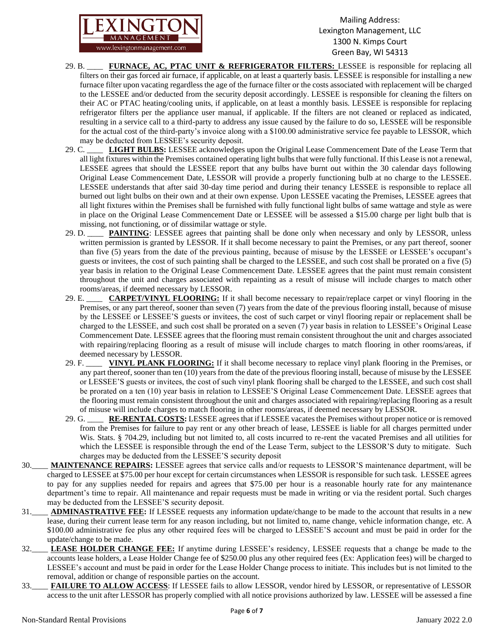

- 29. B. \_\_\_\_ **FURNACE, AC, PTAC UNIT & REFRIGERATOR FILTERS:** LESSEE is responsible for replacing all filters on their gas forced air furnace, if applicable, on at least a quarterly basis. LESSEE is responsible for installing a new furnace filter upon vacating regardless the age of the furnace filter or the costs associated with replacement will be charged to the LESSEE and/or deducted from the security deposit accordingly. LESSEE is responsible for cleaning the filters on their AC or PTAC heating/cooling units, if applicable, on at least a monthly basis. LESSEE is responsible for replacing refrigerator filters per the appliance user manual, if applicable. If the filters are not cleaned or replaced as indicated, resulting in a service call to a third-party to address any issue caused by the failure to do so, LESSEE will be responsible for the actual cost of the third-party's invoice along with a \$100.00 administrative service fee payable to LESSOR, which may be deducted from LESSEE's security deposit.
- 29. C. \_\_\_\_ **LIGHT BULBS:** LESSEE acknowledges upon the Original Lease Commencement Date of the Lease Term that all light fixtures within the Premises contained operating light bulbs that were fully functional. If this Lease is not a renewal, LESSEE agrees that should the LESSEE report that any bulbs have burnt out within the 30 calendar days following Original Lease Commencement Date, LESSOR will provide a properly functioning bulb at no charge to the LESSEE. LESSEE understands that after said 30-day time period and during their tenancy LESSEE is responsible to replace all burned out light bulbs on their own and at their own expense. Upon LESSEE vacating the Premises, LESSEE agrees that all light fixtures within the Premises shall be furnished with fully functional light bulbs of same wattage and style as were in place on the Original Lease Commencement Date or LESSEE will be assessed a \$15.00 charge per light bulb that is missing, not functioning, or of dissimilar wattage or style.
- 29. D. \_\_\_\_\_ **PAINTING**: LESSEE agrees that painting shall be done only when necessary and only by LESSOR, unless written permission is granted by LESSOR. If it shall become necessary to paint the Premises, or any part thereof, sooner than five (5) years from the date of the previous painting, because of misuse by the LESSEE or LESSEE's occupant's guests or invitees, the cost of such painting shall be charged to the LESSEE, and such cost shall be prorated on a five (5) year basis in relation to the Original Lease Commencement Date. LESSEE agrees that the paint must remain consistent throughout the unit and charges associated with repainting as a result of misuse will include charges to match other rooms/areas, if deemed necessary by LESSOR.
- 29. E. \_\_\_\_ **CARPET/VINYL FLOORING:** If it shall become necessary to repair/replace carpet or vinyl flooring in the Premises, or any part thereof, sooner than seven (7) years from the date of the previous flooring install, because of misuse by the LESSEE or LESSEE'S guests or invitees, the cost of such carpet or vinyl flooring repair or replacement shall be charged to the LESSEE, and such cost shall be prorated on a seven (7) year basis in relation to LESSEE's Original Lease Commencement Date. LESSEE agrees that the flooring must remain consistent throughout the unit and charges associated with repairing/replacing flooring as a result of misuse will include charges to match flooring in other rooms/areas, if deemed necessary by LESSOR.
- 29. F. \_\_\_\_ **VINYL PLANK FLOORING:** If it shall become necessary to replace vinyl plank flooring in the Premises, or any part thereof, sooner than ten (10) years from the date of the previous flooring install, because of misuse by the LESSEE or LESSEE'S guests or invitees, the cost of such vinyl plank flooring shall be charged to the LESSEE, and such cost shall be prorated on a ten (10) year basis in relation to LESSEE'S Original Lease Commencement Date. LESSEE agrees that the flooring must remain consistent throughout the unit and charges associated with repairing/replacing flooring as a result of misuse will include charges to match flooring in other rooms/areas, if deemed necessary by LESSOR.
- 29. G. \_\_\_\_ **RE-RENTAL COSTS:** LESSEE agrees that if LESSEE vacates the Premises without proper notice or is removed from the Premises for failure to pay rent or any other breach of lease, LESSEE is liable for all charges permitted under Wis. Stats. § 704.29, including but not limited to, all costs incurred to re-rent the vacated Premises and all utilities for which the LESSEE is responsible through the end of the Lease Term, subject to the LESSOR'S duty to mitigate. Such charges may be deducted from the LESSEE'S security deposit
- 30.\_\_\_\_ **MAINTENANCE REPAIRS:** LESSEE agrees that service calls and/or requests to LESSOR'S maintenance department, will be charged to LESSEE at \$75.00 per hour except for certain circumstances when LESSOR is responsible for such task. LESSEE agrees to pay for any supplies needed for repairs and agrees that \$75.00 per hour is a reasonable hourly rate for any maintenance department's time to repair. All maintenance and repair requests must be made in writing or via the resident portal. Such charges may be deducted from the LESSEE'S security deposit.
- 31.\_\_\_\_ **ADMINASTRATIVE FEE:** If LESSEE requests any information update/change to be made to the account that results in a new lease, during their current lease term for any reason including, but not limited to, name change, vehicle information change, etc. A \$100.00 administrative fee plus any other required fees will be charged to LESSEE'S account and must be paid in order for the update/change to be made.
- 32.\_\_\_\_ **LEASE HOLDER CHANGE FEE:** If anytime during LESSEE's residency, LESSEE requests that a change be made to the accounts lease holders, a Lease Holder Change fee of \$250.00 plus any other required fees (Ex: Application fees) will be charged to LESSEE's account and must be paid in order for the Lease Holder Change process to initiate. This includes but is not limited to the removal, addition or change of responsible parties on the account.
- 33.\_\_\_\_ **FAILURE TO ALLOW ACCESS**: If LESSEE fails to allow LESSOR, vendor hired by LESSOR, or representative of LESSOR access to the unit after LESSOR has properly complied with all notice provisions authorized by law. LESSEE will be assessed a fine